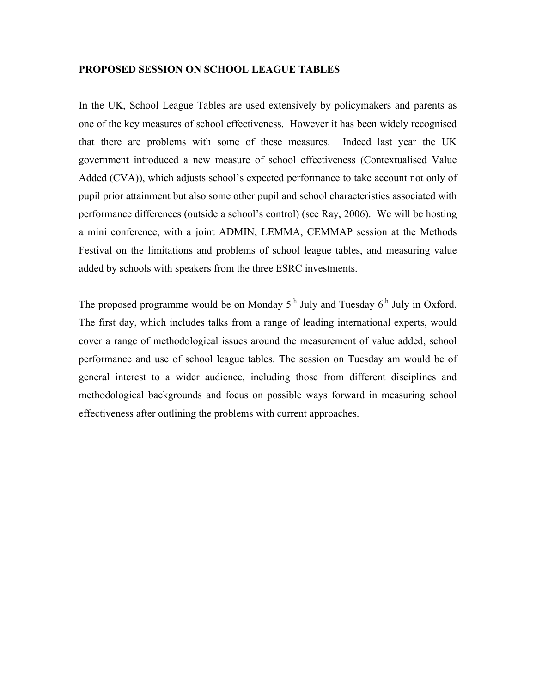#### **PROPOSED SESSION ON SCHOOL LEAGUE TABLES**

In the UK, School League Tables are used extensively by policymakers and parents as one of the key measures of school effectiveness. However it has been widely recognised that there are problems with some of these measures. Indeed last year the UK government introduced a new measure of school effectiveness (Contextualised Value Added (CVA)), which adjusts school's expected performance to take account not only of pupil prior attainment but also some other pupil and school characteristics associated with performance differences (outside a school's control) (see Ray, 2006). We will be hosting a mini conference, with a joint ADMIN, LEMMA, CEMMAP session at the Methods Festival on the limitations and problems of school league tables, and measuring value added by schools with speakers from the three ESRC investments.

The proposed programme would be on Monday  $5<sup>th</sup>$  July and Tuesday  $6<sup>th</sup>$  July in Oxford. The first day, which includes talks from a range of leading international experts, would cover a range of methodological issues around the measurement of value added, school performance and use of school league tables. The session on Tuesday am would be of general interest to a wider audience, including those from different disciplines and methodological backgrounds and focus on possible ways forward in measuring school effectiveness after outlining the problems with current approaches.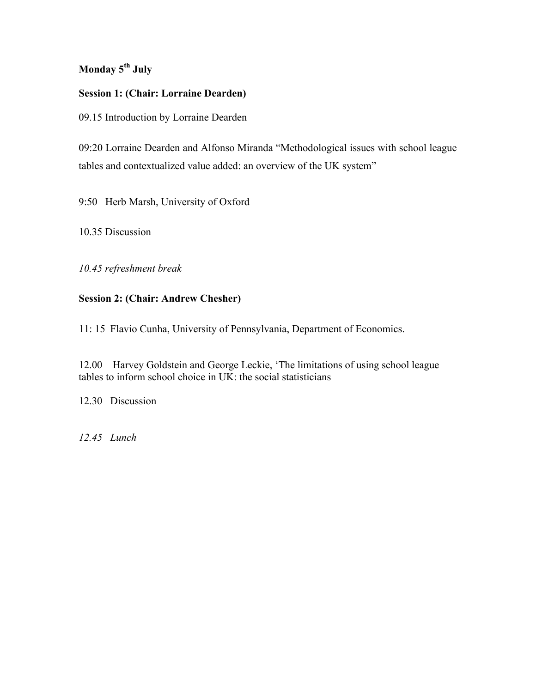# **Monday 5th July**

### **Session 1: (Chair: Lorraine Dearden)**

09.15 Introduction by Lorraine Dearden

09:20 Lorraine Dearden and Alfonso Miranda "Methodological issues with school league tables and contextualized value added: an overview of the UK system"

9:50 Herb Marsh, University of Oxford

10.35 Discussion

*10.45 refreshment break*

## **Session 2: (Chair: Andrew Chesher)**

11: 15 Flavio Cunha, University of Pennsylvania, Department of Economics.

12.00 Harvey Goldstein and George Leckie, 'The limitations of using school league tables to inform school choice in  $\overline{UK}$ : the social statisticians

12.30 Discussion

*12.45 Lunch*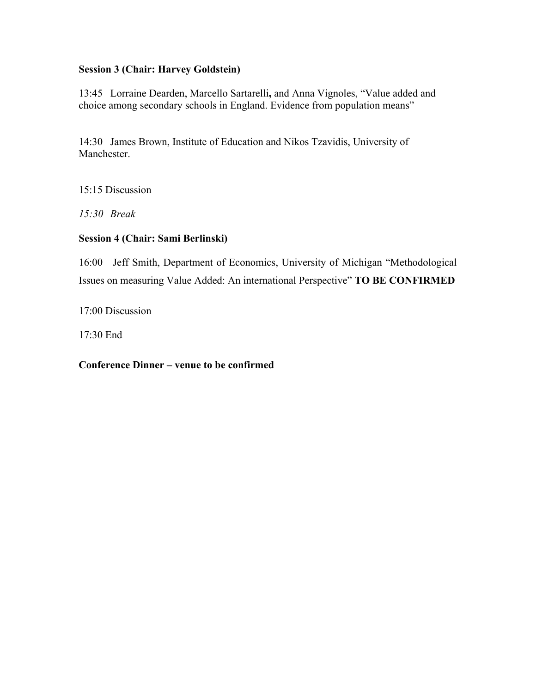### **Session 3 (Chair: Harvey Goldstein)**

13:45 Lorraine Dearden, Marcello Sartarelli**,** and Anna Vignoles, "Value added and choice among secondary schools in England. Evidence from population means"

14:30 James Brown, Institute of Education and Nikos Tzavidis, University of Manchester.

15:15 Discussion

*15:30 Break*

#### **Session 4 (Chair: Sami Berlinski)**

16:00 Jeff Smith, Department of Economics, University of Michigan "Methodological Issues on measuring Value Added: An international Perspective" **TO BE CONFIRMED**

17:00 Discussion

17:30 End

**Conference Dinner – venue to be confirmed**